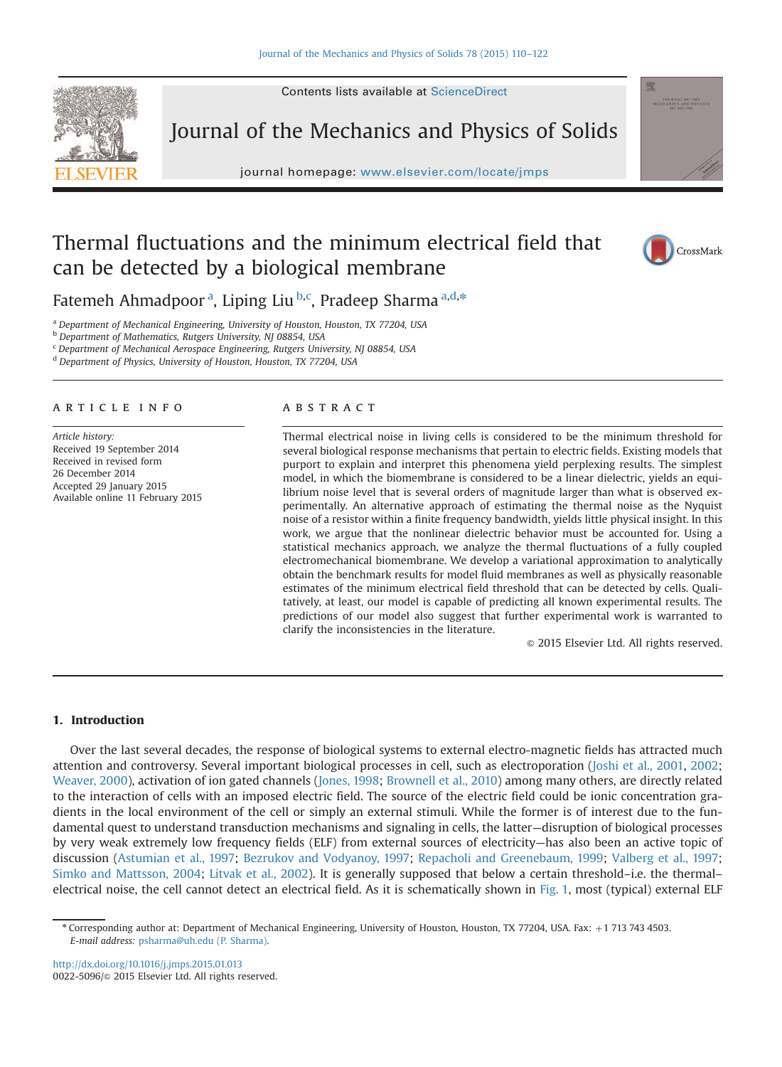

Journal of the Mechanics and Physics of Solids

journal homepage: <www.elsevier.com/locate/jmps>



# Thermal fluctuations and the minimum electrical field that can be detected by a biological membrane



Fatemeh Ahmadpoor <sup>a</sup>, Liping Liu <sup>b,c</sup>, Pradeep Sharma <sup>a,d,\*</sup>

a Department of Mechanical Engineering, University of Houston, Houston, TX 77204, USA

**b** Department of Mathematics, Rutgers University, NJ 08854, USA

<sup>c</sup> Department of Mechanical Aerospace Engineering, Rutgers University, NJ 08854, USA

<sup>d</sup> Department of Physics, University of Houston, Houston, TX 77204, USA

#### ARTICIE INFO

Article history: Received 19 September 2014 Received in revised form 26 December 2014 Accepted 29 January 2015 Available online 11 February 2015

### **ARSTRACT**

Thermal electrical noise in living cells is considered to be the minimum threshold for several biological response mechanisms that pertain to electric fields. Existing models that purport to explain and interpret this phenomena yield perplexing results. The simplest model, in which the biomembrane is considered to be a linear dielectric, yields an equilibrium noise level that is several orders of magnitude larger than what is observed experimentally. An alternative approach of estimating the thermal noise as the Nyquist noise of a resistor within a finite frequency bandwidth, yields little physical insight. In this work, we argue that the nonlinear dielectric behavior must be accounted for. Using a statistical mechanics approach, we analyze the thermal fluctuations of a fully coupled electromechanical biomembrane. We develop a variational approximation to analytically obtain the benchmark results for model fluid membranes as well as physically reasonable estimates of the minimum electrical field threshold that can be detected by cells. Qualitatively, at least, our model is capable of predicting all known experimental results. The predictions of our model also suggest that further experimental work is warranted to clarify the inconsistencies in the literature.

 $©$  2015 Elsevier Ltd. All rights reserved.

# 1. Introduction

Over the last several decades, the response of biological systems to external electro-magnetic fields has attracted much attention and controversy. Several important biological processes in cell, such as electroporation ([Joshi et al., 2001](#page-12-0), [2002](#page-12-0); [Weaver, 2000\)](#page-12-0), activation of ion gated channels ([Jones, 1998](#page-12-0); [Brownell et al., 2010](#page-12-0)) among many others, are directly related to the interaction of cells with an imposed electric field. The source of the electric field could be ionic concentration gradients in the local environment of the cell or simply an external stimuli. While the former is of interest due to the fundamental quest to understand transduction mechanisms and signaling in cells, the latter—disruption of biological processes by very weak extremely low frequency fields (ELF) from external sources of electricity—has also been an active topic of discussion [\(Astumian et al., 1997;](#page-11-0) [Bezrukov and Vodyanoy, 1997](#page-11-0); [Repacholi and Greenebaum, 1999](#page-12-0); [Valberg et al., 1997](#page-12-0); [Simko and Mattsson, 2004;](#page-12-0) [Litvak et al., 2002\)](#page-12-0). It is generally supposed that below a certain threshold–i.e. the thermal– electrical noise, the cell cannot detect an electrical field. As it is schematically shown in [Fig. 1,](#page-1-0) most (typical) external ELF

<sup>\*</sup> Corresponding author at: Department of Mechanical Engineering, University of Houston, Houston, TX 77204, USA. Fax: +1 713 743 4503. E-mail address: [psharma@uh.edu \(P. Sharma\).](mailto:psharma@uh.edu)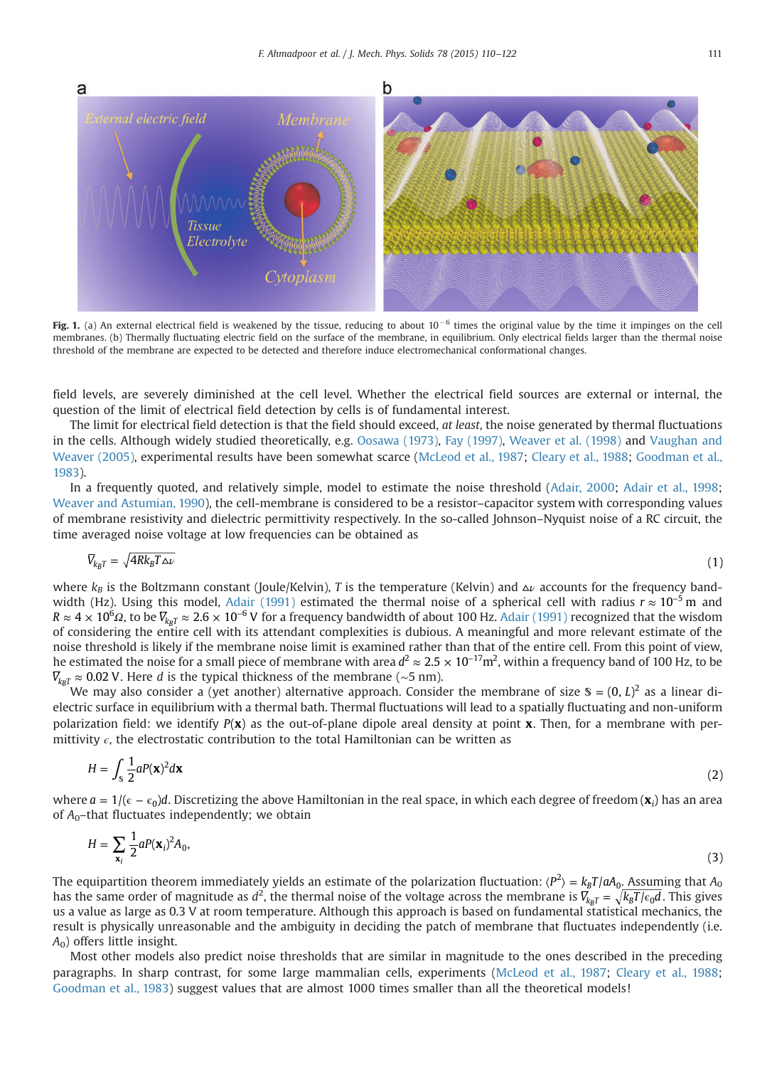<span id="page-1-0"></span>

Fig. 1. (a) An external electrical field is weakened by the tissue, reducing to about  $10^{-6}$  times the original value by the time it impinges on the cell membranes. (b) Thermally fluctuating electric field on the surface of the membrane, in equilibrium. Only electrical fields larger than the thermal noise threshold of the membrane are expected to be detected and therefore induce electromechanical conformational changes.

field levels, are severely diminished at the cell level. Whether the electrical field sources are external or internal, the question of the limit of electrical field detection by cells is of fundamental interest.

The limit for electrical field detection is that the field should exceed, at least, the noise generated by thermal fluctuations in the cells. Although widely studied theoretically, e.g. [Oosawa \(1973\)](#page-12-0), [Fay \(1997\),](#page-12-0) [Weaver et al. \(1998\)](#page-12-0) and [Vaughan and](#page-12-0) [Weaver \(2005\),](#page-12-0) experimental results have been somewhat scarce ([McLeod et al., 1987;](#page-12-0) [Cleary et al., 1988;](#page-12-0) [Goodman et al.,](#page-12-0) [1983](#page-12-0)).

In a frequently quoted, and relatively simple, model to estimate the noise threshold [\(Adair, 2000](#page-11-0); [Adair et al., 1998](#page-11-0); [Weaver and Astumian, 1990\)](#page-12-0), the cell-membrane is considered to be a resistor–capacitor system with corresponding values of membrane resistivity and dielectric permittivity respectively. In the so-called Johnson–Nyquist noise of a RC circuit, the time averaged noise voltage at low frequencies can be obtained as

$$
\overline{V}_{k_B T} = \sqrt{4Rk_B T \Delta \nu} \tag{1}
$$

where  $k_B$  is the Boltzmann constant (Joule/Kelvin), T is the temperature (Kelvin) and  $\Delta \nu$  accounts for the frequency band-width (Hz). Using this model, [Adair \(1991\)](#page-11-0) estimated the thermal noise of a spherical cell with radius  $r \approx 10^{-5}$  m and  $R\approx 4\times 10^6$ Q, to be  $\overline{V}_{k_B T}\approx 2.6\times 10^{-6}$  V for a frequency bandwidth of about 100 Hz. [Adair \(1991\)](#page-11-0) recognized that the wisdom of considering the entire cell with its attendant complexities is dubious. A meaningful and more relevant estimate of the noise threshold is likely if the membrane noise limit is examined rather than that of the entire cell. From this point of view, he estimated the noise for a small piece of membrane with area  $d^2 \approx 2.5 \times 10^{-17}$  m<sup>2</sup>, within a frequency band of 100 Hz, to be  $\overline{V}_{k_B T}$  ≈ 0.02 V. Here *d* is the typical thickness of the membrane (~5 nm).

We may also consider a (yet another) alternative approach. Consider the membrane of size  $\mathcal{S} = (0, L)^2$  as a linear dielectric surface in equilibrium with a thermal bath. Thermal fluctuations will lead to a spatially fluctuating and non-uniform polarization field: we identify  $P(x)$  as the out-of-plane dipole areal density at point x. Then, for a membrane with permittivity  $\epsilon$ , the electrostatic contribution to the total Hamiltonian can be written as

$$
H = \int_{\mathbf{S}} \frac{1}{2} aP(\mathbf{x})^2 d\mathbf{x}
$$
 (2)

where *a* = 1/( $\epsilon$  –  $\epsilon_0$ )*d*. Discretizing the above Hamiltonian in the real space, in which each degree of freedom (**x**<sub>i</sub>) has an area of  $A_0$ -that fluctuates independently; we obtain

$$
H = \sum_{\mathbf{x}_i} \frac{1}{2} a P(\mathbf{x}_i)^2 A_0,
$$
\n(3)

The equipartition theorem immediately yields an estimate of the polarization fluctuation:  $\langle P^2\rangle=k_BT/aA_0$ <u>. Assum</u>ing that  $A_0$ has the same order of magnitude as  $d^2$ , the thermal noise of the voltage across the membrane is  $\overline{V}_{k_B T} = \sqrt{k_B T/\epsilon_0 d}$ . This gives us a value as large as 0.3 V at room temperature. Although this approach is based on fundamental statistical mechanics, the result is physically unreasonable and the ambiguity in deciding the patch of membrane that fluctuates independently (i.e.  $A_0$ ) offers little insight.

Most other models also predict noise thresholds that are similar in magnitude to the ones described in the preceding paragraphs. In sharp contrast, for some large mammalian cells, experiments [\(McLeod et al., 1987](#page-12-0); [Cleary et al., 1988](#page-12-0); [Goodman et al., 1983\)](#page-12-0) suggest values that are almost 1000 times smaller than all the theoretical models!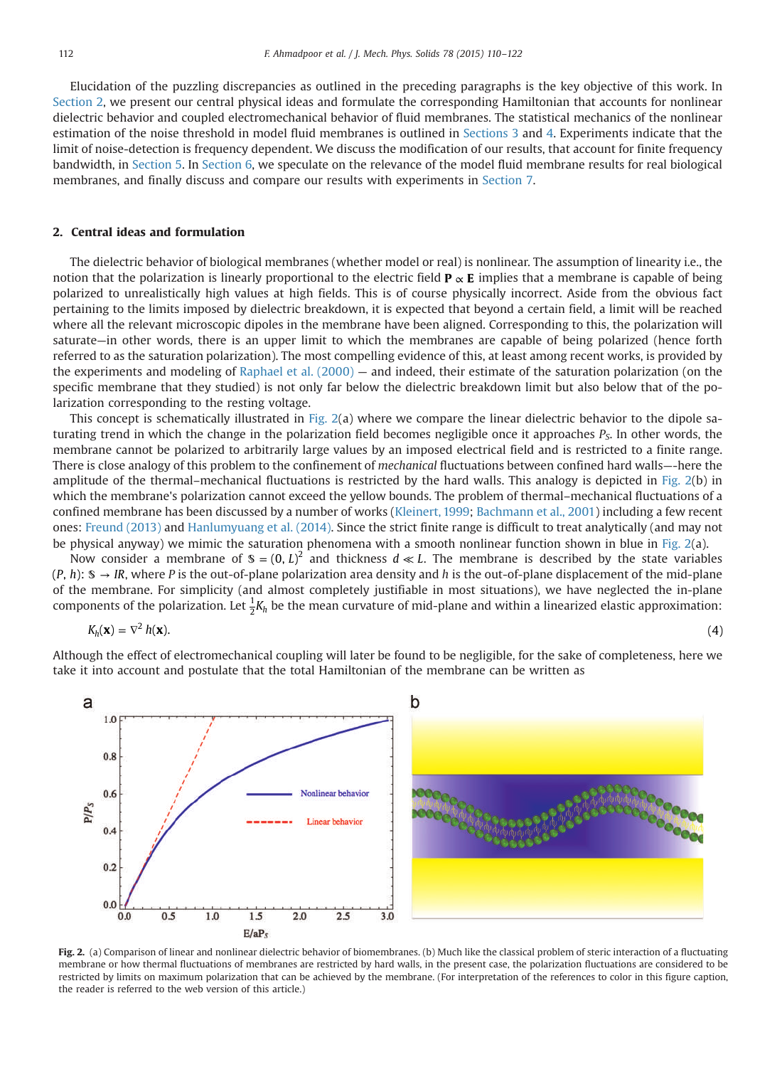<span id="page-2-0"></span>Elucidation of the puzzling discrepancies as outlined in the preceding paragraphs is the key objective of this work. In Section 2, we present our central physical ideas and formulate the corresponding Hamiltonian that accounts for nonlinear dielectric behavior and coupled electromechanical behavior of fluid membranes. The statistical mechanics of the nonlinear estimation of the noise threshold in model fluid membranes is outlined in [Sections 3](#page-4-0) and [4](#page-5-0). Experiments indicate that the limit of noise-detection is frequency dependent. We discuss the modification of our results, that account for finite frequency bandwidth, in [Section 5.](#page-6-0) In [Section 6](#page-7-0), we speculate on the relevance of the model fluid membrane results for real biological membranes, and finally discuss and compare our results with experiments in [Section 7](#page-8-0).

# 2. Central ideas and formulation

The dielectric behavior of biological membranes (whether model or real) is nonlinear. The assumption of linearity i.e., the notion that the polarization is linearly proportional to the electric field  $P \propto E$  implies that a membrane is capable of being polarized to unrealistically high values at high fields. This is of course physically incorrect. Aside from the obvious fact pertaining to the limits imposed by dielectric breakdown, it is expected that beyond a certain field, a limit will be reached where all the relevant microscopic dipoles in the membrane have been aligned. Corresponding to this, the polarization will saturate—in other words, there is an upper limit to which the membranes are capable of being polarized (hence forth referred to as the saturation polarization). The most compelling evidence of this, at least among recent works, is provided by the experiments and modeling of Raphael et al.  $(2000)$  — and indeed, their estimate of the saturation polarization (on the specific membrane that they studied) is not only far below the dielectric breakdown limit but also below that of the polarization corresponding to the resting voltage.

This concept is schematically illustrated in Fig.  $2(a)$  where we compare the linear dielectric behavior to the dipole saturating trend in which the change in the polarization field becomes negligible once it approaches  $P<sub>s</sub>$ . In other words, the membrane cannot be polarized to arbitrarily large values by an imposed electrical field and is restricted to a finite range. There is close analogy of this problem to the confinement of mechanical fluctuations between confined hard walls—-here the amplitude of the thermal–mechanical fluctuations is restricted by the hard walls. This analogy is depicted in Fig. 2(b) in which the membrane's polarization cannot exceed the yellow bounds. The problem of thermal–mechanical fluctuations of a confined membrane has been discussed by a number of works [\(Kleinert, 1999](#page-12-0); [Bachmann et al., 2001\)](#page-11-0) including a few recent ones: [Freund \(2013\)](#page-12-0) and [Hanlumyuang et al. \(2014\).](#page-12-0) Since the strict finite range is difficult to treat analytically (and may not be physical anyway) we mimic the saturation phenomena with a smooth nonlinear function shown in blue in Fig. 2(a).

Now consider a membrane of  $\mathcal{S} = (0, L)^2$  and thickness  $d \ll L$ . The membrane is described by the state variables  $(P, h)$ :  $\mathcal{S} \rightarrow IR$ , where P is the out-of-plane polarization area density and h is the out-of-plane displacement of the mid-plane of the membrane. For simplicity (and almost completely justifiable in most situations), we have neglected the in-plane components of the polarization. Let  $\frac{1}{2}K_h$  be the mean curvature of mid-plane and within a linearized elastic approximation:

$$
K_h(\mathbf{x}) = \nabla^2 h(\mathbf{x}).
$$
\n(4)

Although the effect of electromechanical coupling will later be found to be negligible, for the sake of completeness, here we take it into account and postulate that the total Hamiltonian of the membrane can be written as



Fig. 2. (a) Comparison of linear and nonlinear dielectric behavior of biomembranes. (b) Much like the classical problem of steric interaction of a fluctuating membrane or how thermal fluctuations of membranes are restricted by hard walls, in the present case, the polarization fluctuations are considered to be restricted by limits on maximum polarization that can be achieved by the membrane. (For interpretation of the references to color in this figure caption, the reader is referred to the web version of this article.)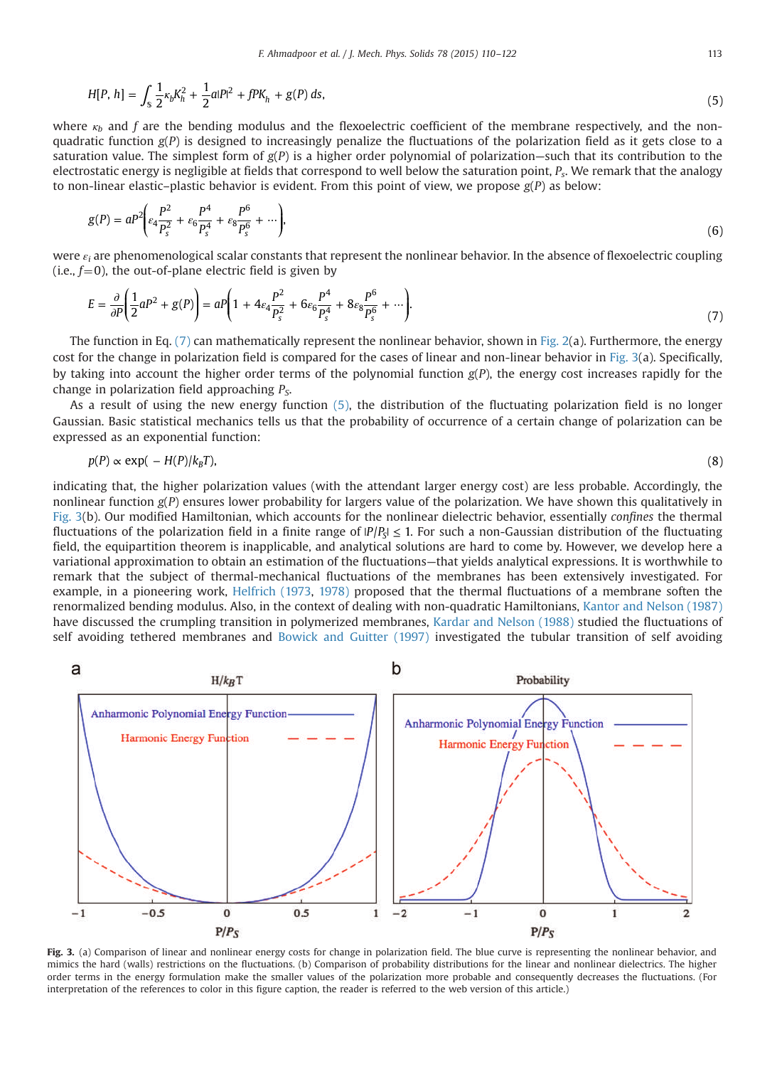<span id="page-3-0"></span>
$$
H[P, h] = \int_{\mathbb{S}} \frac{1}{2} \kappa_b K_h^2 + \frac{1}{2} a |P|^2 + f P K_h + g(P) \, ds,\tag{5}
$$

where  $\kappa_b$  and f are the bending modulus and the flexoelectric coefficient of the membrane respectively, and the nonquadratic function  $g(P)$  is designed to increasingly penalize the fluctuations of the polarization field as it gets close to a saturation value. The simplest form of  $g(P)$  is a higher order polynomial of polarization—such that its contribution to the electrostatic energy is negligible at fields that correspond to well below the saturation point,  $P_s$ . We remark that the analogy to non-linear elastic–plastic behavior is evident. From this point of view, we propose  $g(P)$  as below:

$$
g(P) = aP^2 \bigg( \varepsilon_4 \frac{P^2}{P_s^2} + \varepsilon_6 \frac{P^4}{P_s^4} + \varepsilon_8 \frac{P^6}{P_s^6} + \cdots \bigg),\tag{6}
$$

were  $\varepsilon_i$  are phenomenological scalar constants that represent the nonlinear behavior. In the absence of flexoelectric coupling (i.e.,  $f=0$ ), the out-of-plane electric field is given by

$$
E = \frac{\partial}{\partial P} \left( \frac{1}{2} a P^2 + g(P) \right) = a P \left( 1 + 4 \varepsilon_4 \frac{P^2}{P_s^2} + 6 \varepsilon_6 \frac{P^4}{P_s^4} + 8 \varepsilon_8 \frac{P^6}{P_s^6} + \cdots \right).
$$
\n(7)

The function in Eq.  $(7)$  can mathematically represent the nonlinear behavior, shown in [Fig. 2](#page-2-0)(a). Furthermore, the energy cost for the change in polarization field is compared for the cases of linear and non-linear behavior in Fig. 3(a). Specifically, by taking into account the higher order terms of the polynomial function  $g(P)$ , the energy cost increases rapidly for the change in polarization field approaching  $P_{\rm S}$ .

As a result of using the new energy function [\(5\)](#page-2-0), the distribution of the fluctuating polarization field is no longer Gaussian. Basic statistical mechanics tells us that the probability of occurrence of a certain change of polarization can be expressed as an exponential function:

$$
p(P) \propto \exp(-H(P)/k_B T),\tag{8}
$$

indicating that, the higher polarization values (with the attendant larger energy cost) are less probable. Accordingly, the nonlinear function  $g(P)$  ensures lower probability for largers value of the polarization. We have shown this qualitatively in Fig. 3(b). Our modified Hamiltonian, which accounts for the nonlinear dielectric behavior, essentially confines the thermal fluctuations of the polarization field in a finite range of  $P/P_S \le 1$ . For such a non-Gaussian distribution of the fluctuating field, the equipartition theorem is inapplicable, and analytical solutions are hard to come by. However, we develop here a variational approximation to obtain an estimation of the fluctuations—that yields analytical expressions. It is worthwhile to remark that the subject of thermal-mechanical fluctuations of the membranes has been extensively investigated. For example, in a pioneering work, [Helfrich \(1973,](#page-12-0) [1978\)](#page-12-0) proposed that the thermal fluctuations of a membrane soften the renormalized bending modulus. Also, in the context of dealing with non-quadratic Hamiltonians, [Kantor and Nelson \(1987\)](#page-12-0) have discussed the crumpling transition in polymerized membranes, [Kardar and Nelson \(1988\)](#page-12-0) studied the fluctuations of self avoiding tethered membranes and [Bowick and Guitter \(1997\)](#page-11-0) investigated the tubular transition of self avoiding



Fig. 3. (a) Comparison of linear and nonlinear energy costs for change in polarization field. The blue curve is representing the nonlinear behavior, and mimics the hard (walls) restrictions on the fluctuations. (b) Comparison of probability distributions for the linear and nonlinear dielectrics. The higher order terms in the energy formulation make the smaller values of the polarization more probable and consequently decreases the fluctuations. (For interpretation of the references to color in this figure caption, the reader is referred to the web version of this article.)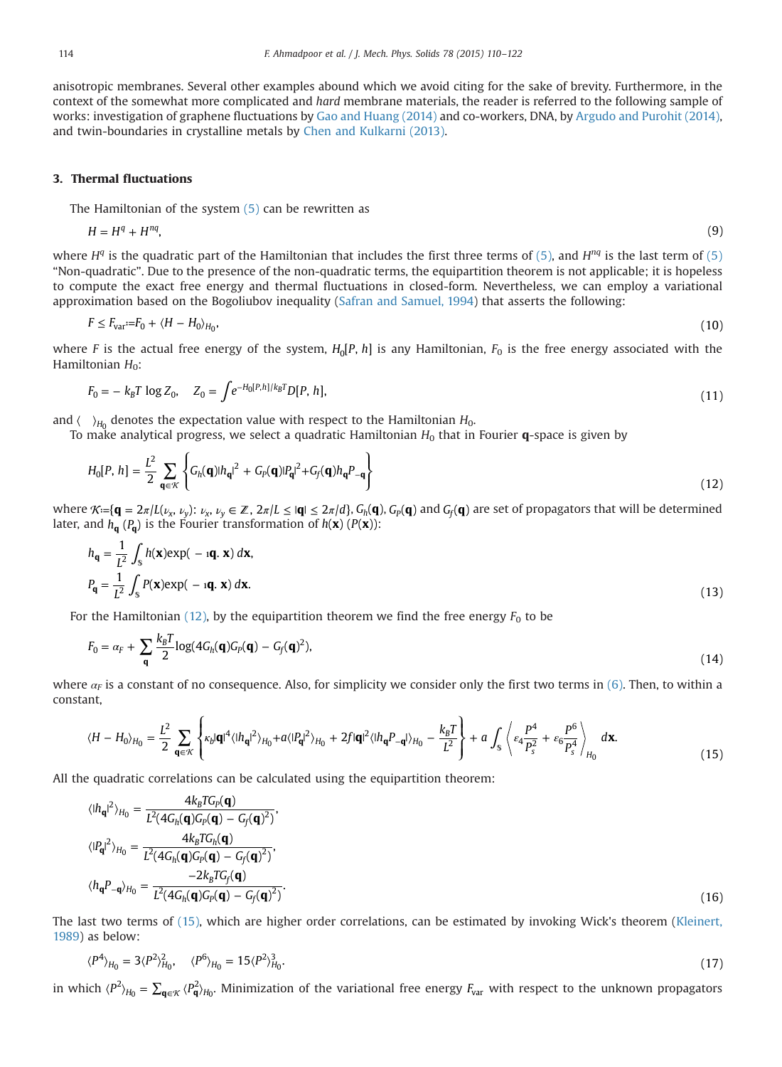<span id="page-4-0"></span>anisotropic membranes. Several other examples abound which we avoid citing for the sake of brevity. Furthermore, in the context of the somewhat more complicated and hard membrane materials, the reader is referred to the following sample of works: investigation of graphene fluctuations by [Gao and Huang \(2014\)](#page-12-0) and co-workers, DNA, by [Argudo and Purohit \(2014\)](#page-11-0), and twin-boundaries in crystalline metals by [Chen and Kulkarni \(2013\).](#page-12-0)

#### 3. Thermal fluctuations

The Hamiltonian of the system  $(5)$  can be rewritten as

$$
H = H^q + H^{nq},\tag{9}
$$

where  $H<sup>q</sup>$  is the quadratic part of the Hamiltonian that includes the first three terms of [\(5\)](#page-2-0), and  $H<sup>nq</sup>$  is the last term of (5) "Non-quadratic". Due to the presence of the non-quadratic terms, the equipartition theorem is not applicable; it is hopeless to compute the exact free energy and thermal fluctuations in closed-form. Nevertheless, we can employ a variational approximation based on the Bogoliubov inequality [\(Safran and Samuel, 1994\)](#page-12-0) that asserts the following:

$$
F \le F_{\text{var}} := F_0 + \langle H - H_0 \rangle_{H_0},\tag{10}
$$

where F is the actual free energy of the system,  $H_0[P, h]$  is any Hamiltonian,  $F_0$  is the free energy associated with the Hamiltonian  $H_0$ :

$$
F_0 = -k_B T \log Z_0, \quad Z_0 = \int e^{-H_0[P,h]/k_B T} D[P,h], \tag{11}
$$

and  $\langle \rangle_{H_0}$  denotes the expectation value with respect to the Hamiltonian  $H_0$ .

To make analytical progress, we select a quadratic Hamiltonian  $H_0$  that in Fourier  $\mathbf{q}$ -space is given by

$$
H_0[P, h] = \frac{L^2}{2} \sum_{\mathbf{q} \in \mathcal{K}} \left\{ G_h(\mathbf{q}) |h_{\mathbf{q}}|^2 + G_p(\mathbf{q}) |P_{\mathbf{q}}|^2 + G_f(\mathbf{q}) h_{\mathbf{q}} P_{-\mathbf{q}} \right\}
$$
(12)

where  $\mathcal{R}:=\{\mathbf{q}=2\pi/L(\nu_{\chi},\nu_{\psi})\colon\nu_{\chi},\nu_{\psi}\in\mathbb{Z}$ ,  $2\pi/L\leq |\mathbf{q}|\leq 2\pi/d\}$ ,  $G_h(\mathbf{q})$ ,  $G_p(\mathbf{q})$  and  $G_f(\mathbf{q})$  are set of propagators that will be determined later, and  $h_{\bf q}$  ( $P_{\bf q}$ ) is the Fourier transformation of  $h({\bf x})$  ( $P({\bf x})$ ):

$$
h_{\mathbf{q}} = \frac{1}{L^2} \int_{\mathbb{S}} h(\mathbf{x}) \exp(-\mathbf{q} \cdot \mathbf{x}) d\mathbf{x},
$$
  
\n
$$
P_{\mathbf{q}} = \frac{1}{L^2} \int_{\mathbb{S}} P(\mathbf{x}) \exp(-\mathbf{q} \cdot \mathbf{x}) d\mathbf{x}.
$$
\n(13)

For the Hamiltonian (12), by the equipartition theorem we find the free energy  $F_0$  to be

$$
F_0 = \alpha_F + \sum_{\mathbf{q}} \frac{k_B T}{2} \log(4G_h(\mathbf{q})G_p(\mathbf{q}) - G_f(\mathbf{q})^2),\tag{14}
$$

where  $\alpha_F$  is a constant of no consequence. Also, for simplicity we consider only the first two terms in [\(6\).](#page-3-0) Then, to within a constant,

$$
\langle H - H_0 \rangle_{H_0} = \frac{L^2}{2} \sum_{\mathbf{q} \in \mathcal{K}} \left\{ \kappa_b |\mathbf{q}|^4 \langle |h_{\mathbf{q}}|^2 \rangle_{H_0} + a \langle |P_{\mathbf{q}}|^2 \rangle_{H_0} + 2f |\mathbf{q}|^2 \langle |h_{\mathbf{q}} P_{-\mathbf{q}}| \rangle_{H_0} - \frac{k_B T}{L^2} \right\} + a \int_{\mathbb{S}} \left\langle \varepsilon_4 \frac{P^4}{P_s^2} + \varepsilon_6 \frac{P^6}{P_s^4} \right\rangle_{H_0} d\mathbf{x}.
$$
 (15)

All the quadratic correlations can be calculated using the equipartition theorem:

$$
\langle I h_{\mathbf{q}}I^2 \rangle_{H_0} = \frac{4k_B T G_P(\mathbf{q})}{L^2 (4G_h(\mathbf{q})G_P(\mathbf{q}) - G_f(\mathbf{q})^2)},
$$
  
\n
$$
\langle I P_{\mathbf{q}}I^2 \rangle_{H_0} = \frac{4k_B T G_h(\mathbf{q})}{L^2 (4G_h(\mathbf{q})G_P(\mathbf{q}) - G_f(\mathbf{q})^2)},
$$
  
\n
$$
\langle h_{\mathbf{q}}P_{-\mathbf{q}} \rangle_{H_0} = \frac{-2k_B T G_f(\mathbf{q})}{L^2 (4G_h(\mathbf{q})G_P(\mathbf{q}) - G_f(\mathbf{q})^2)}.
$$
\n(16)

The last two terms of (15), which are higher order correlations, can be estimated by invoking Wick's theorem [\(Kleinert,](#page-12-0) [1989](#page-12-0)) as below:

$$
\langle P^4 \rangle_{H_0} = 3 \langle P^2 \rangle_{H_0}^2, \quad \langle P^6 \rangle_{H_0} = 15 \langle P^2 \rangle_{H_0}^3. \tag{17}
$$

in which  $\langle P^2\rangle_{H_0}=\sum_{\mathbf{q}\in\mathcal{K}}\langle P^2_{\mathbf{q}}\rangle_{H_0}.$  Minimization of the variational free energy  $F_{\rm var}$  with respect to the unknown propagators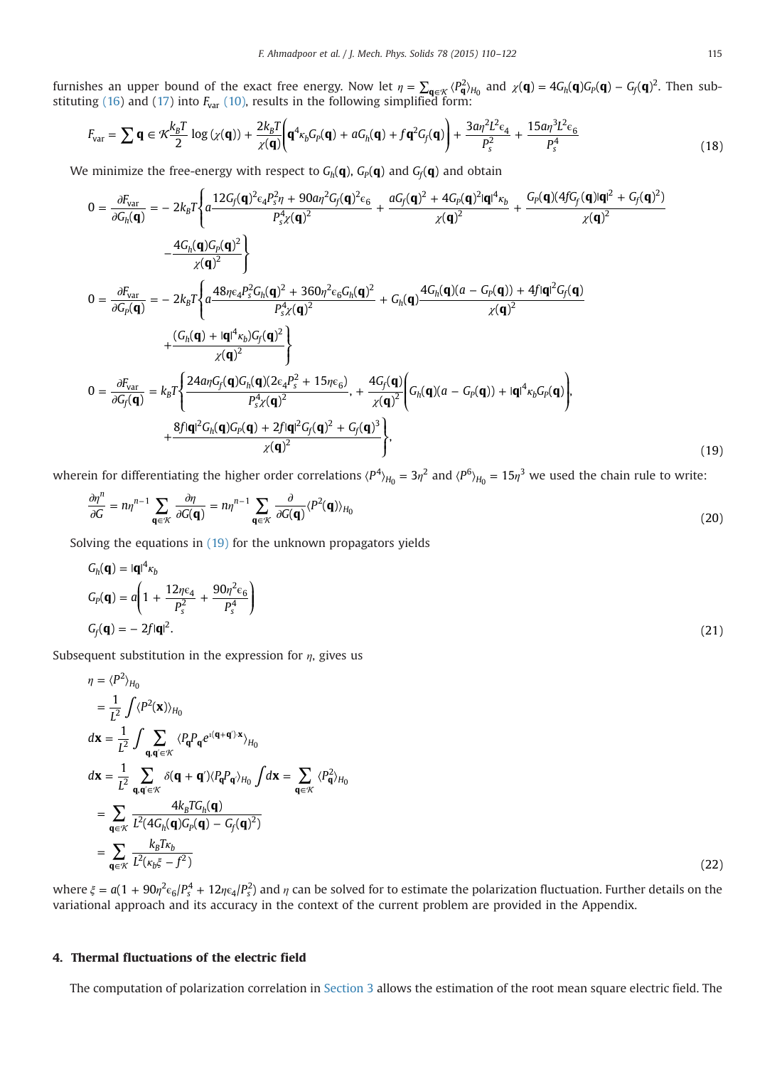<span id="page-5-0"></span>furnishes an upper bound of the exact free energy. Now let  $\eta = \sum_{\mathbf{q} \in \mathcal{K}} \langle P_{\mathbf{q}}^2 \rangle_{H_0}$  and  $\chi(\mathbf{q}) = 4G_h(\mathbf{q})G_p(\mathbf{q}) - G_f(\mathbf{q})^2$ . Then sub-stituting [\(16\)](#page-4-0) and [\(17\)](#page-4-0) into  $F_{\text{var}}$  [\(10\)](#page-4-0), results in the following simplified form:

$$
F_{var} = \sum \mathbf{q} \in \mathcal{K} \frac{k_B T}{2} \log \left( \chi(\mathbf{q}) \right) + \frac{2k_B T}{\chi(\mathbf{q})} \left( \mathbf{q}^4 \kappa_b G_P(\mathbf{q}) + a G_h(\mathbf{q}) + f \mathbf{q}^2 G_f(\mathbf{q}) \right) + \frac{3a \eta^2 L^2 \epsilon_4}{P_s^2} + \frac{15a \eta^3 L^2 \epsilon_6}{P_s^4} \tag{18}
$$

We minimize the free-energy with respect to  $G_h(\mathbf{q})$ ,  $G_p(\mathbf{q})$  and  $G_f(\mathbf{q})$  and obtain

$$
0 = \frac{\partial F_{var}}{\partial G_h(\mathbf{q})} = -2k_B T \Bigg\{ a \frac{12G_f(\mathbf{q})^2 \epsilon_4 P_s^2 \eta + 90a \eta^2 G_f(\mathbf{q})^2 \epsilon_6}{P_s^4 \chi(\mathbf{q})^2} + \frac{aG_f(\mathbf{q})^2 + 4G_P(\mathbf{q})^2 |\mathbf{q}|^4 \kappa_b}{\chi(\mathbf{q})^2} + \frac{G_P(\mathbf{q}) (4fG_f(\mathbf{q}) |\mathbf{q}|^2 + G_f(\mathbf{q})^2)}{\chi(\mathbf{q})^2} - \frac{4G_h(\mathbf{q})G_P(\mathbf{q})^2}{\chi(\mathbf{q})^2} \Bigg\}
$$
  
\n
$$
0 = \frac{\partial F_{var}}{\partial G_P(\mathbf{q})} = -2k_B T \Bigg\{ a \frac{48\eta \epsilon_4 P_s^2 G_h(\mathbf{q})^2 + 360\eta^2 \epsilon_6 G_h(\mathbf{q})^2}{P_s^4 \chi(\mathbf{q})^2} + G_h(\mathbf{q}) \frac{4G_h(\mathbf{q})(a - G_P(\mathbf{q})) + 4f |\mathbf{q}|^2 G_f(\mathbf{q})}{\chi(\mathbf{q})^2} + \frac{(G_h(\mathbf{q}) + |\mathbf{q}|^4 \kappa_b)G_f(\mathbf{q})^2}{\chi(\mathbf{q})^2} \Bigg\}
$$
  
\n
$$
0 = \frac{\partial F_{var}}{\partial G_f(\mathbf{q})} = k_B T \Bigg\{ \frac{24a\eta G_f(\mathbf{q})G_h(\mathbf{q})(2\epsilon_4 P_s^2 + 15\eta \epsilon_6)}{P_s^4 \chi(\mathbf{q})^2}, + \frac{4G_f(\mathbf{q})}{\chi(\mathbf{q})^2} \Bigg\{ G_h(\mathbf{q})(a - G_P(\mathbf{q})) + |\mathbf{q}|^4 \kappa_b G_P(\mathbf{q}) \Bigg\},
$$
  
\n
$$
+ \frac{8f |\mathbf{q}|^2 G_h(\mathbf{q})G_P(\mathbf{q}) + 2f |\mathbf{q}|^2 G_f(\mathbf{q})^2 + G_f(\mathbf{q})^3}{\chi(\mathbf{q})^2} \Bigg\},
$$
  
\n(19)

wherein for differentiating the higher order correlations  $\langle P^4 \rangle_{H_0} = 3\eta^2$  and  $\langle P^6 \rangle_{H_0} = 15\eta^3$  we used the chain rule to write:

$$
\frac{\partial \eta^n}{\partial G} = n \eta^{n-1} \sum_{\mathbf{q} \in \mathcal{K}} \frac{\partial \eta}{\partial G(\mathbf{q})} = n \eta^{n-1} \sum_{\mathbf{q} \in \mathcal{K}} \frac{\partial}{\partial G(\mathbf{q})} \langle P^2(\mathbf{q}) \rangle_{H_0}
$$
(20)

Solving the equations in (19) for the unknown propagators yields

$$
G_h(\mathbf{q}) = |\mathbf{q}|^4 \kappa_b
$$
  
\n
$$
G_P(\mathbf{q}) = a \left( 1 + \frac{12\eta \epsilon_4}{P_s^2} + \frac{90\eta^2 \epsilon_6}{P_s^4} \right)
$$
  
\n
$$
G_f(\mathbf{q}) = -2f|\mathbf{q}|^2.
$$
\n(21)

Subsequent substitution in the expression for  $\eta$ , gives us

$$
\eta = \langle P^2 \rangle_{H_0}
$$
\n
$$
= \frac{1}{L^2} \int \langle P^2(\mathbf{x}) \rangle_{H_0}
$$
\n
$$
d\mathbf{x} = \frac{1}{L^2} \int \sum_{\mathbf{q}, \mathbf{q}' \in \mathcal{K}} \langle P_{\mathbf{q}} P_{\mathbf{q}} e^{i(\mathbf{q} + \mathbf{q}') \mathbf{x}} \rangle_{H_0}
$$
\n
$$
d\mathbf{x} = \frac{1}{L^2} \sum_{\mathbf{q}, \mathbf{q}' \in \mathcal{K}} \delta(\mathbf{q} + \mathbf{q}') \langle P_{\mathbf{q}} P_{\mathbf{q}'} \rangle_{H_0} \int d\mathbf{x} = \sum_{\mathbf{q} \in \mathcal{K}} \langle P_{\mathbf{q}}^2 \rangle_{H_0}
$$
\n
$$
= \sum_{\mathbf{q} \in \mathcal{K}} \frac{4k_B T G_h(\mathbf{q})}{L^2 (4G_h(\mathbf{q}) G_p(\mathbf{q}) - G_f(\mathbf{q})^2)}
$$
\n
$$
= \sum_{\mathbf{q} \in \mathcal{K}} \frac{k_B T k_b}{L^2 (\kappa_b \xi - f^2)}
$$
\n(22)

where  $\xi = a(1 + 90\eta^2 \epsilon_6/P_s^4 + 12\eta \epsilon_4/P_s^2)$  and  $\eta$  can be solved for to estimate the polarization fluctuation. Further details on the variational approach and its accuracy in the context of the current problem are provided in the Appendix.

# 4. Thermal fluctuations of the electric field

The computation of polarization correlation in [Section 3](#page-4-0) allows the estimation of the root mean square electric field. The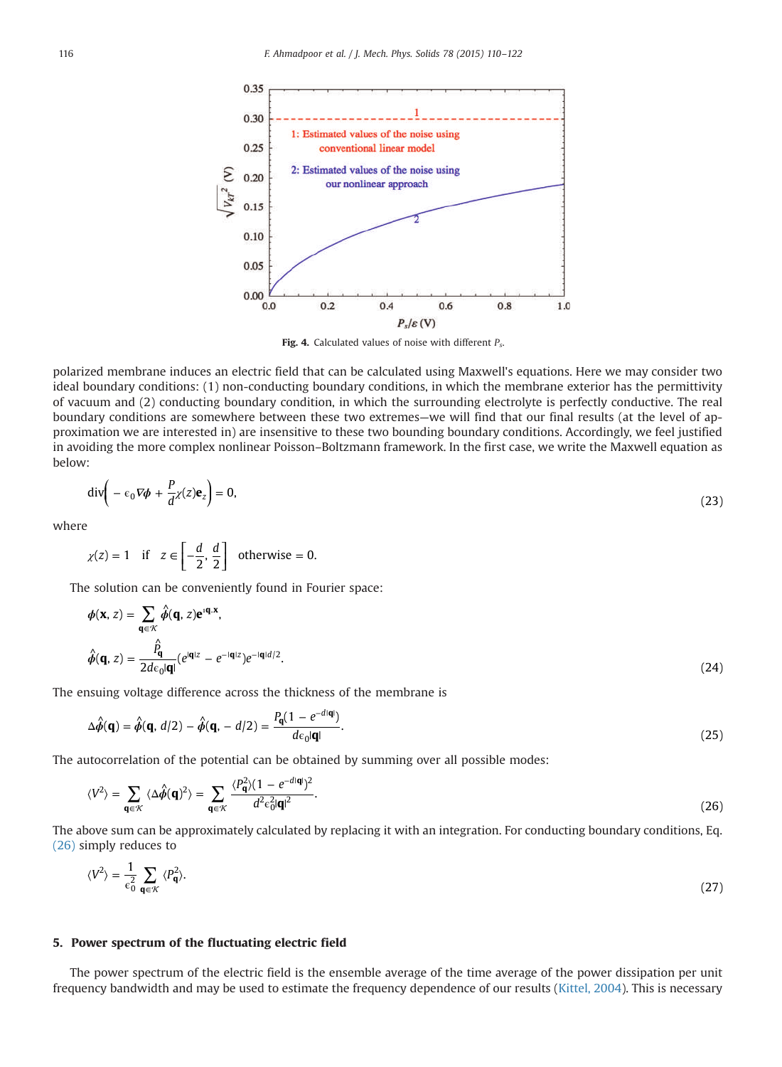<span id="page-6-0"></span>

Fig. 4. Calculated values of noise with different  $P_s$ .

polarized membrane induces an electric field that can be calculated using Maxwell's equations. Here we may consider two ideal boundary conditions: (1) non-conducting boundary conditions, in which the membrane exterior has the permittivity of vacuum and (2) conducting boundary condition, in which the surrounding electrolyte is perfectly conductive. The real boundary conditions are somewhere between these two extremes—we will find that our final results (at the level of approximation we are interested in) are insensitive to these two bounding boundary conditions. Accordingly, we feel justified in avoiding the more complex nonlinear Poisson–Boltzmann framework. In the first case, we write the Maxwell equation as below:

$$
\operatorname{div}\left(-\epsilon_0 \nabla \phi + \frac{P}{d} \chi(z) \mathbf{e}_z\right) = 0,\tag{23}
$$

where

$$
\chi(z) = 1
$$
 if  $z \in \left[-\frac{d}{2}, \frac{d}{2}\right]$  otherwise = 0.

The solution can be conveniently found in Fourier space:

$$
\phi(\mathbf{x}, z) = \sum_{\mathbf{q} \in \mathcal{K}} \hat{\phi}(\mathbf{q}, z) e^{i\mathbf{q} \cdot \mathbf{x}},
$$
  

$$
\hat{\phi}(\mathbf{q}, z) = \frac{\hat{P}_{\mathbf{q}}}{2d\epsilon_0 |\mathbf{q}|} (e^{i\mathbf{q} \cdot |\mathbf{z}|} - e^{-i\mathbf{q} \cdot |\mathbf{z}|}) e^{-i\mathbf{q} \cdot |\mathbf{d}|/2}.
$$
 (24)

The ensuing voltage difference across the thickness of the membrane is

$$
\Delta \hat{\phi}(\mathbf{q}) = \hat{\phi}(\mathbf{q}, d/2) - \hat{\phi}(\mathbf{q}, -d/2) = \frac{P_{\mathbf{q}}(1 - e^{-d|\mathbf{q}|})}{d\epsilon_0 |\mathbf{q}|}.
$$
\n(25)

The autocorrelation of the potential can be obtained by summing over all possible modes:

$$
\langle V^2 \rangle = \sum_{\mathbf{q} \in \mathcal{K}} \langle \Delta \hat{\phi}(\mathbf{q})^2 \rangle = \sum_{\mathbf{q} \in \mathcal{K}} \frac{\langle P_{\mathbf{q}}^2 \rangle (1 - e^{-d|\mathbf{q}|})^2}{d^2 \epsilon_0^2 |\mathbf{q}|^2}.
$$
 (26)

The above sum can be approximately calculated by replacing it with an integration. For conducting boundary conditions, Eq. (26) simply reduces to

$$
\langle V^2 \rangle = \frac{1}{\epsilon_0^2} \sum_{\mathbf{q} \in \mathcal{K}} \langle P_{\mathbf{q}}^2 \rangle. \tag{27}
$$

## 5. Power spectrum of the fluctuating electric field

The power spectrum of the electric field is the ensemble average of the time average of the power dissipation per unit frequency bandwidth and may be used to estimate the frequency dependence of our results ([Kittel, 2004\)](#page-12-0). This is necessary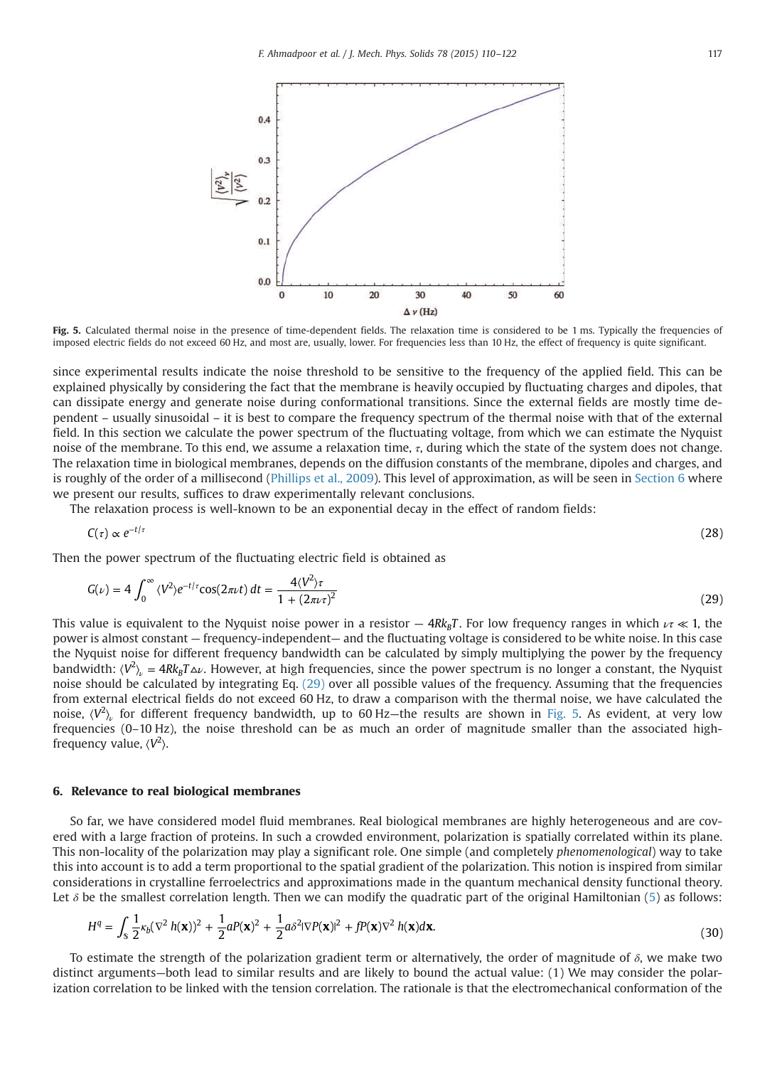<span id="page-7-0"></span>

Fig. 5. Calculated thermal noise in the presence of time-dependent fields. The relaxation time is considered to be 1 ms. Typically the frequencies of imposed electric fields do not exceed 60 Hz, and most are, usually, lower. For frequencies less than 10 Hz, the effect of frequency is quite significant.

since experimental results indicate the noise threshold to be sensitive to the frequency of the applied field. This can be explained physically by considering the fact that the membrane is heavily occupied by fluctuating charges and dipoles, that can dissipate energy and generate noise during conformational transitions. Since the external fields are mostly time dependent – usually sinusoidal – it is best to compare the frequency spectrum of the thermal noise with that of the external field. In this section we calculate the power spectrum of the fluctuating voltage, from which we can estimate the Nyquist noise of the membrane. To this end, we assume a relaxation time,  $τ$ , during which the state of the system does not change. The relaxation time in biological membranes, depends on the diffusion constants of the membrane, dipoles and charges, and is roughly of the order of a millisecond ([Phillips et al., 2009](#page-12-0)). This level of approximation, as will be seen in Section 6 where we present our results, suffices to draw experimentally relevant conclusions.

The relaxation process is well-known to be an exponential decay in the effect of random fields:

$$
C(\tau) \propto e^{-t/\tau} \tag{28}
$$

Then the power spectrum of the fluctuating electric field is obtained as

$$
G(\nu) = 4 \int_0^\infty \langle V^2 \rangle e^{-t/\tau} \cos(2\pi\nu t) \, dt = \frac{4\langle V^2 \rangle \tau}{1 + (2\pi\nu \tau)^2} \tag{29}
$$

This value is equivalent to the Nyquist noise power in a resistor  $- 4Rk_BT$ . For low frequency ranges in which  $\nu\tau \ll 1$ , the power is almost constant — frequency-independent— and the fluctuating voltage is considered to be white noise. In this case the Nyquist noise for different frequency bandwidth can be calculated by simply multiplying the power by the frequency bandwidth:  $\langle V^2\rangle_\nu=4Rk_BT\Delta\nu.$  However, at high frequencies, since the power spectrum is no longer a constant, the Nyquist noise should be calculated by integrating Eq. (29) over all possible values of the frequency. Assuming that the frequencies from external electrical fields do not exceed 60 Hz, to draw a comparison with the thermal noise, we have calculated the noise,  $\langle V^2 \rangle$  for different frequency bandwidth, up to 60 Hz—the results are shown in Fig. 5. As evident, at very low frequencies (0–10 Hz), the noise threshold can be as much an order of magnitude smaller than the associated highfrequency value,  $\langle V^2 \rangle$ .

### 6. Relevance to real biological membranes

So far, we have considered model fluid membranes. Real biological membranes are highly heterogeneous and are covered with a large fraction of proteins. In such a crowded environment, polarization is spatially correlated within its plane. This non-locality of the polarization may play a significant role. One simple (and completely phenomenological) way to take this into account is to add a term proportional to the spatial gradient of the polarization. This notion is inspired from similar considerations in crystalline ferroelectrics and approximations made in the quantum mechanical density functional theory. Let  $\delta$  be the smallest correlation length. Then we can modify the quadratic part of the original Hamiltonian ([5\)](#page-2-0) as follows:

$$
H^{q} = \int_{\mathcal{S}} \frac{1}{2} \kappa_{b} (\nabla^{2} h(\mathbf{x}))^{2} + \frac{1}{2} a P(\mathbf{x})^{2} + \frac{1}{2} a \delta^{2} |\nabla P(\mathbf{x})|^{2} + f P(\mathbf{x}) \nabla^{2} h(\mathbf{x}) d\mathbf{x}.
$$
\n(30)

To estimate the strength of the polarization gradient term or alternatively, the order of magnitude of  $\delta$ , we make two distinct arguments—both lead to similar results and are likely to bound the actual value: (1) We may consider the polarization correlation to be linked with the tension correlation. The rationale is that the electromechanical conformation of the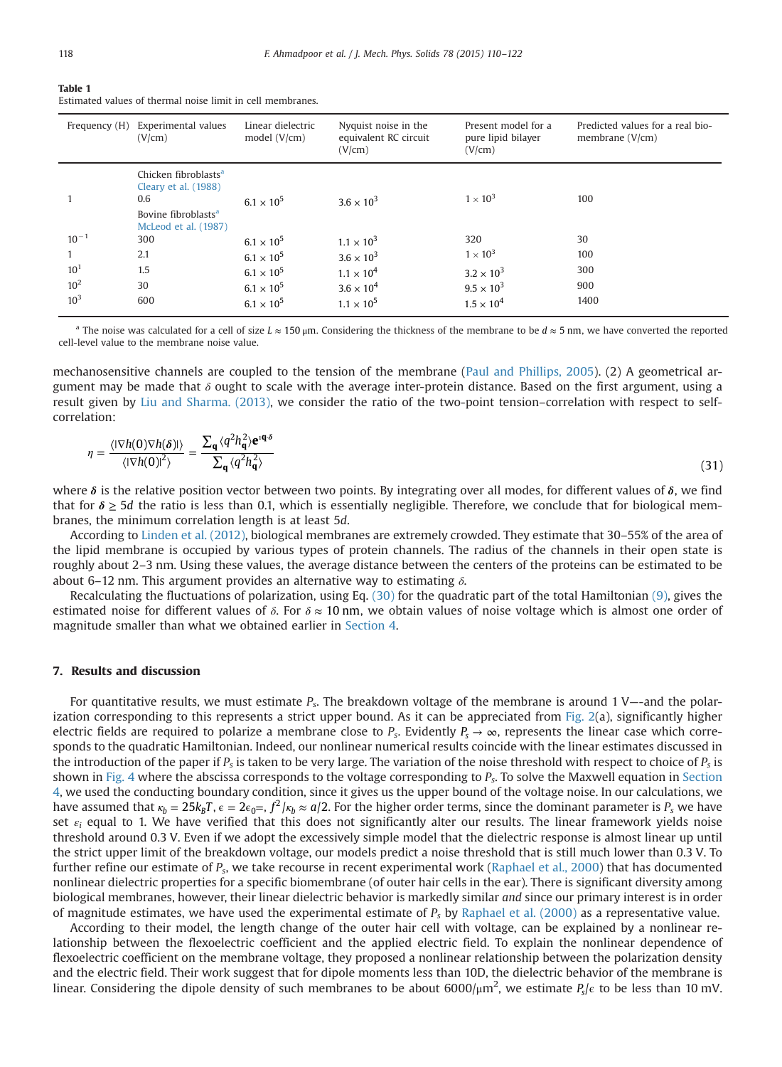<span id="page-8-0"></span>

| I<br>×<br>۰. |  |  |
|--------------|--|--|
|              |  |  |
|              |  |  |
|              |  |  |

| Table 1                                                    |  |  |
|------------------------------------------------------------|--|--|
| Estimated values of thermal noise limit in cell membranes. |  |  |

|                 | Frequency (H) Experimental values<br>(V/cm)                                                                                | Linear dielectric<br>model $(V/cm)$ | Nyquist noise in the<br>equivalent RC circuit<br>(V/cm) | Present model for a<br>pure lipid bilayer<br>(V/cm) | Predicted values for a real bio-<br>membrane $(V/cm)$ |
|-----------------|----------------------------------------------------------------------------------------------------------------------------|-------------------------------------|---------------------------------------------------------|-----------------------------------------------------|-------------------------------------------------------|
|                 | Chicken fibroblasts <sup>a</sup><br>Cleary et al. (1988)<br>0.6<br>Bovine fibroblasts <sup>a</sup><br>McLeod et al. (1987) | $6.1 \times 10^{5}$                 | $3.6 \times 10^{3}$                                     | $1 \times 10^3$                                     | 100                                                   |
| $10^{-1}$       | 300                                                                                                                        | $6.1 \times 10^{5}$                 | $1.1 \times 10^{3}$                                     | 320                                                 | 30                                                    |
|                 | 2.1                                                                                                                        | $6.1 \times 10^{5}$                 | $3.6 \times 10^{3}$                                     | $1 \times 10^3$                                     | 100                                                   |
| 10 <sup>1</sup> | 1.5                                                                                                                        | $6.1 \times 10^{5}$                 | $1.1 \times 10^{4}$                                     | $3.2 \times 10^{3}$                                 | 300                                                   |
| 10 <sup>2</sup> | 30                                                                                                                         | $6.1 \times 10^{5}$                 | $3.6 \times 10^{4}$                                     | $9.5 \times 10^{3}$                                 | 900                                                   |
| $10^{3}$        | 600                                                                                                                        | $6.1 \times 10^{5}$                 | $1.1 \times 10^{5}$                                     | $1.5 \times 10^{4}$                                 | 1400                                                  |

<sup>a</sup> The noise was calculated for a cell of size  $L \approx 150 \,\text{\upmu m}$ . Considering the thickness of the membrane to be  $d \approx 5 \,\text{nm}$ , we have converted the reported cell-level value to the membrane noise value.

mechanosensitive channels are coupled to the tension of the membrane [\(Paul and Phillips, 2005\)](#page-12-0). (2) A geometrical argument may be made that  $\delta$  ought to scale with the average inter-protein distance. Based on the first argument, using a result given by [Liu and Sharma. \(2013\)](#page-12-0), we consider the ratio of the two-point tension–correlation with respect to selfcorrelation:

$$
\eta = \frac{\langle |\nabla h(0)\nabla h(\delta)| \rangle}{\langle |\nabla h(0)|^2 \rangle} = \frac{\sum_{\mathbf{q}} \langle q^2 h_{\mathbf{q}}^2 \rangle e^{\mathbf{q} \cdot \delta}}{\sum_{\mathbf{q}} \langle q^2 h_{\mathbf{q}}^2 \rangle} \tag{31}
$$

where *δ* is the relative position vector between two points. By integrating over all modes, for different values of *δ*, we find that for *δ* ≥ 5*d* the ratio is less than 0.1, which is essentially negligible. Therefore, we conclude that for biological membranes, the minimum correlation length is at least 5d.

According to [Linden et al. \(2012\),](#page-12-0) biological membranes are extremely crowded. They estimate that 30–55% of the area of the lipid membrane is occupied by various types of protein channels. The radius of the channels in their open state is roughly about 2–3 nm. Using these values, the average distance between the centers of the proteins can be estimated to be about 6–12 nm. This argument provides an alternative way to estimating  $\delta$ .

Recalculating the fluctuations of polarization, using Eq. [\(30\)](#page-7-0) for the quadratic part of the total Hamiltonian [\(9\),](#page-4-0) gives the estimated noise for different values of  $\delta$ . For  $\delta \approx 10$  nm, we obtain values of noise voltage which is almost one order of magnitude smaller than what we obtained earlier in [Section 4.](#page-5-0)

## 7. Results and discussion

For quantitative results, we must estimate  $P_s$ . The breakdown voltage of the membrane is around 1 V—-and the polarization corresponding to this represents a strict upper bound. As it can be appreciated from Fig.  $2(a)$ , significantly higher electric fields are required to polarize a membrane close to  $P_s$ . Evidently  $P_s \to \infty$ , represents the linear case which corresponds to the quadratic Hamiltonian. Indeed, our nonlinear numerical results coincide with the linear estimates discussed in the introduction of the paper if  $P_s$  is taken to be very large. The variation of the noise threshold with respect to choice of  $P_s$  is shown in [Fig. 4](#page-6-0) where the abscissa corresponds to the voltage corresponding to  $P_s$ . To solve the Maxwell equation in [Section](#page-5-0) [4,](#page-5-0) we used the conducting boundary condition, since it gives us the upper bound of the voltage noise. In our calculations, we have assumed that  $\kappa_b = 25k_BT$ ,  $\epsilon = 2\epsilon_0 =$ ,  $f^2/\kappa_b \approx a/2$ . For the higher order terms, since the dominant parameter is  $P_s$  we have set  $\varepsilon_i$  equal to 1. We have verified that this does not significantly alter our results. The linear framework yields noise threshold around 0.3 V. Even if we adopt the excessively simple model that the dielectric response is almost linear up until the strict upper limit of the breakdown voltage, our models predict a noise threshold that is still much lower than 0.3 V. To further refine our estimate of  $P_s$ , we take recourse in recent experimental work [\(Raphael et al., 2000](#page-12-0)) that has documented nonlinear dielectric properties for a specific biomembrane (of outer hair cells in the ear). There is significant diversity among biological membranes, however, their linear dielectric behavior is markedly similar and since our primary interest is in order of magnitude estimates, we have used the experimental estimate of  $P_s$  by [Raphael et al. \(2000\)](#page-12-0) as a representative value.

According to their model, the length change of the outer hair cell with voltage, can be explained by a nonlinear relationship between the flexoelectric coefficient and the applied electric field. To explain the nonlinear dependence of flexoelectric coefficient on the membrane voltage, they proposed a nonlinear relationship between the polarization density and the electric field. Their work suggest that for dipole moments less than 10D, the dielectric behavior of the membrane is linear. Considering the dipole density of such membranes to be about  $6000/\mu m^2$ , we estimate  $P_s/\epsilon$  to be less than 10 mV.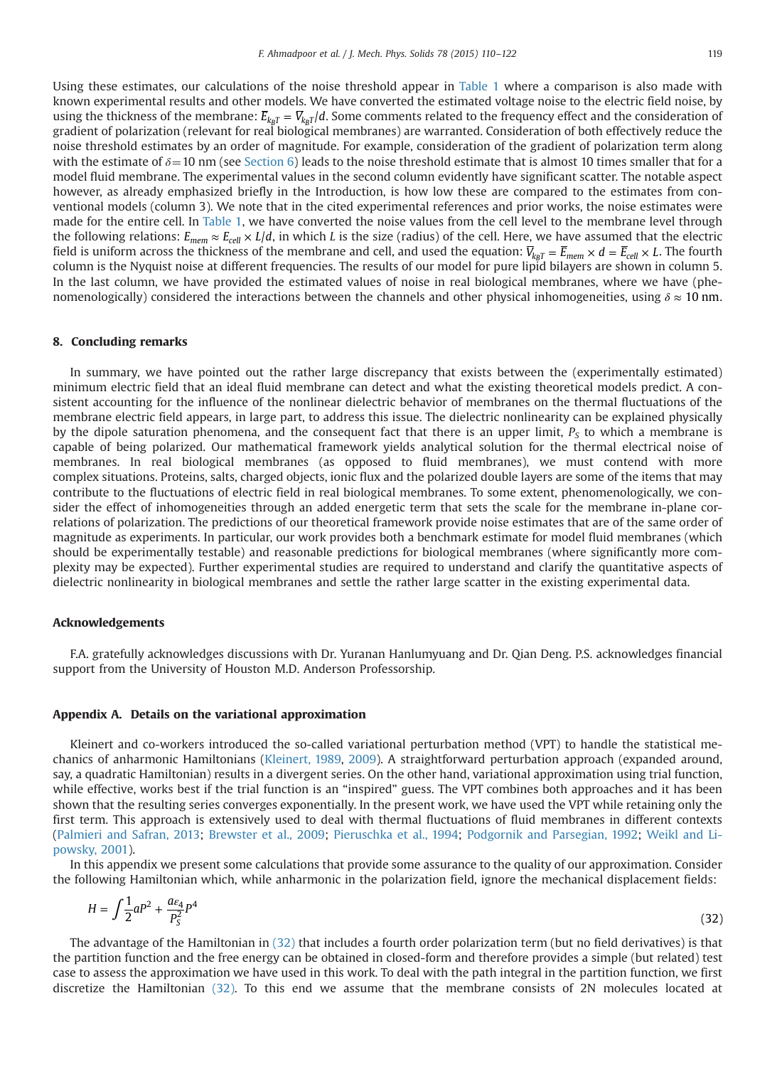<span id="page-9-0"></span>Using these estimates, our calculations of the noise threshold appear in [Table 1](#page-8-0) where a comparison is also made with known experimental results and other models. We have converted the estimated voltage noise to the electric field noise, by using the thickness of the membrane:  $\overline{E}_{k_BT} = \overline{V}_{k_BT}/d$ . Some comments related to the frequency effect and the consideration of gradient of polarization (relevant for real biological membranes) are warranted. Consideration of both effectively reduce the noise threshold estimates by an order of magnitude. For example, consideration of the gradient of polarization term along with the estimate of  $\delta = 10$  nm (see [Section 6\)](#page-7-0) leads to the noise threshold estimate that is almost 10 times smaller that for a model fluid membrane. The experimental values in the second column evidently have significant scatter. The notable aspect however, as already emphasized briefly in the Introduction, is how low these are compared to the estimates from conventional models (column 3). We note that in the cited experimental references and prior works, the noise estimates were made for the entire cell. In [Table 1,](#page-8-0) we have converted the noise values from the cell level to the membrane level through the following relations:  $E_{mem} \approx E_{cell} \times L/d$ , in which L is the size (radius) of the cell. Here, we have assumed that the electric field is uniform across the thickness of the membrane and cell, and used the equation:  $V_{kgT} = E_{mem} \times d = E_{cell} \times L$ . The fourth column is the Nyquist noise at different frequencies. The results of our model for pure lipid bilayers are shown in column 5. In the last column, we have provided the estimated values of noise in real biological membranes, where we have (phenomenologically) considered the interactions between the channels and other physical inhomogeneities, using  $\delta \approx 10$  nm.

## 8. Concluding remarks

In summary, we have pointed out the rather large discrepancy that exists between the (experimentally estimated) minimum electric field that an ideal fluid membrane can detect and what the existing theoretical models predict. A consistent accounting for the influence of the nonlinear dielectric behavior of membranes on the thermal fluctuations of the membrane electric field appears, in large part, to address this issue. The dielectric nonlinearity can be explained physically by the dipole saturation phenomena, and the consequent fact that there is an upper limit,  $P<sub>S</sub>$  to which a membrane is capable of being polarized. Our mathematical framework yields analytical solution for the thermal electrical noise of membranes. In real biological membranes (as opposed to fluid membranes), we must contend with more complex situations. Proteins, salts, charged objects, ionic flux and the polarized double layers are some of the items that may contribute to the fluctuations of electric field in real biological membranes. To some extent, phenomenologically, we consider the effect of inhomogeneities through an added energetic term that sets the scale for the membrane in-plane correlations of polarization. The predictions of our theoretical framework provide noise estimates that are of the same order of magnitude as experiments. In particular, our work provides both a benchmark estimate for model fluid membranes (which should be experimentally testable) and reasonable predictions for biological membranes (where significantly more complexity may be expected). Further experimental studies are required to understand and clarify the quantitative aspects of dielectric nonlinearity in biological membranes and settle the rather large scatter in the existing experimental data.

#### Acknowledgements

F.A. gratefully acknowledges discussions with Dr. Yuranan Hanlumyuang and Dr. Qian Deng. P.S. acknowledges financial support from the University of Houston M.D. Anderson Professorship.

#### Appendix A. Details on the variational approximation

Kleinert and co-workers introduced the so-called variational perturbation method (VPT) to handle the statistical mechanics of anharmonic Hamiltonians [\(Kleinert, 1989,](#page-12-0) [2009\)](#page-12-0). A straightforward perturbation approach (expanded around, say, a quadratic Hamiltonian) results in a divergent series. On the other hand, variational approximation using trial function, while effective, works best if the trial function is an "inspired" guess. The VPT combines both approaches and it has been shown that the resulting series converges exponentially. In the present work, we have used the VPT while retaining only the first term. This approach is extensively used to deal with thermal fluctuations of fluid membranes in different contexts ([Palmieri and Safran, 2013](#page-12-0); [Brewster et al., 2009](#page-12-0); [Pieruschka et al., 1994](#page-12-0); [Podgornik and Parsegian, 1992](#page-12-0); [Weikl and Li](#page-12-0)[powsky, 2001](#page-12-0)).

In this appendix we present some calculations that provide some assurance to the quality of our approximation. Consider the following Hamiltonian which, while anharmonic in the polarization field, ignore the mechanical displacement fields:

$$
H = \int \frac{1}{2} a P^2 + \frac{a_{\xi_4}}{P_S^2} P^4
$$
 (32)

The advantage of the Hamiltonian in (32) that includes a fourth order polarization term (but no field derivatives) is that the partition function and the free energy can be obtained in closed-form and therefore provides a simple (but related) test case to assess the approximation we have used in this work. To deal with the path integral in the partition function, we first discretize the Hamiltonian (32). To this end we assume that the membrane consists of 2N molecules located at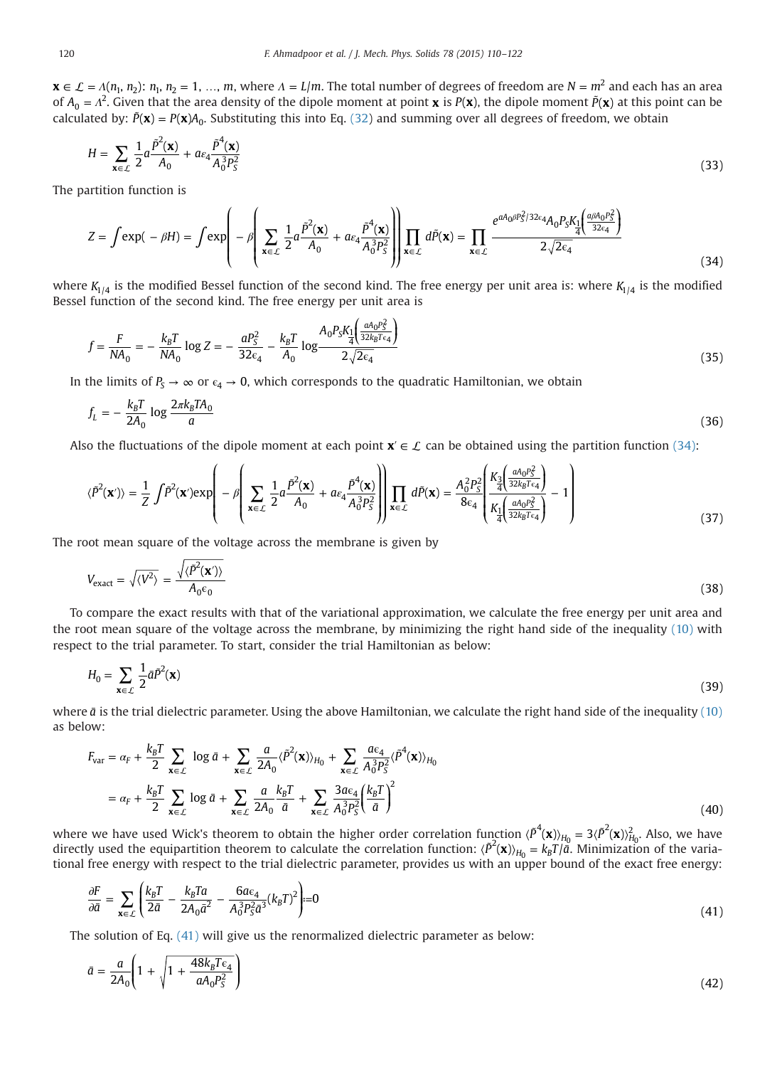<span id="page-10-0"></span> $\mathbf{x} \in \mathcal{L} = A(n_1, n_2)$ :  $n_1, n_2 = 1, ..., m$ , where  $A = L/m$ . The total number of degrees of freedom are  $N = m^2$  and each has an area of  $A_0 = \Lambda^2$ . Given that the area density of the dipole moment at point **x** is  $P(x)$ , the dipole moment  $\tilde{P}(x)$  at this point can be calculated by:  $\tilde{P}(\mathbf{x}) = P(\mathbf{x})A_0$ . Substituting this into Eq. [\(32\)](#page-9-0) and summing over all degrees of freedom, we obtain

$$
H = \sum_{\mathbf{x} \in \mathcal{L}} \frac{1}{2} a \frac{\tilde{P}^2(\mathbf{x})}{A_0} + a \varepsilon_4 \frac{\tilde{P}^4(\mathbf{x})}{A_0^3 P_S^2}
$$
(33)

The partition function is

$$
Z = \int \exp(-\beta H) = \int \exp\left(-\beta \left(\sum_{\mathbf{x} \in \mathcal{L}} \frac{1}{2} a \frac{\tilde{P}^2(\mathbf{x})}{A_0} + a\epsilon_4 \frac{\tilde{P}^4(\mathbf{x})}{A_0^3 P_S^2}\right)\right) \prod_{\mathbf{x} \in \mathcal{L}} d\tilde{P}(\mathbf{x}) = \prod_{\mathbf{x} \in \mathcal{L}} \frac{e^{aA_0 \beta P_S^2/32\epsilon_4} A_0 P_S K_1 \left(\frac{a\beta A_0 P_S^2}{32\epsilon_4}\right)}{2\sqrt{2\epsilon_4}}
$$
(34)

where  $K_{1/4}$  is the modified Bessel function of the second kind. The free energy per unit area is: where  $K_{1/4}$  is the modified Bessel function of the second kind. The free energy per unit area is

$$
f = \frac{F}{NA_0} = -\frac{k_B T}{NA_0} \log Z = -\frac{a P_S^2}{32 \epsilon_4} - \frac{k_B T}{A_0} \log \frac{A_0 P_S K_1 \left(\frac{a A_0 P_S^2}{32 k_B T \epsilon_4}\right)}{2\sqrt{2 \epsilon_4}}
$$
(35)

In the limits of  $P_s \to \infty$  or  $\epsilon_4 \to 0$ , which corresponds to the quadratic Hamiltonian, we obtain

$$
f_L = -\frac{k_B T}{2A_0} \log \frac{2\pi k_B T A_0}{a} \tag{36}
$$

Also the fluctuations of the dipole moment at each point  $\mathbf{x}' \in \mathcal{L}$  can be obtained using the partition function (34):

$$
\langle \tilde{P}^2(\mathbf{x}') \rangle = \frac{1}{Z} \int \tilde{P}^2(\mathbf{x}') \exp\left(-\beta \left(\sum_{\mathbf{x} \in \mathcal{L}} \frac{1}{2} a \frac{\tilde{P}^2(\mathbf{x})}{A_0} + a \epsilon_4 \frac{\tilde{P}^4(\mathbf{x})}{A_0^3 P_S^2}\right) \prod_{\mathbf{x} \in \mathcal{L}} d\tilde{P}(\mathbf{x}) = \frac{A_0^2 P_S^2}{8 \epsilon_4} \left(\frac{K_3 \left(\frac{a A_0 P_S^2}{32 k_B T \epsilon_4}\right)}{K_1 \left(\frac{a A_0 P_S^2}{32 k_B T \epsilon_4}\right)} - 1\right)
$$
(37)

⎞

The root mean square of the voltage across the membrane is given by

$$
V_{\text{exact}} = \sqrt{\langle V^2 \rangle} = \frac{\sqrt{\langle \tilde{P}^2(\mathbf{x}') \rangle}}{A_0 \epsilon_0}
$$
(38)

To compare the exact results with that of the variational approximation, we calculate the free energy per unit area and the root mean square of the voltage across the membrane, by minimizing the right hand side of the inequality [\(10\)](#page-4-0) with respect to the trial parameter. To start, consider the trial Hamiltonian as below:

$$
H_0 = \sum_{\mathbf{x} \in \mathcal{L}} \frac{1}{2} \bar{a} \bar{p}^2(\mathbf{x}) \tag{39}
$$

where  $\bar{a}$  is the trial dielectric parameter. Using the above Hamiltonian, we calculate the right hand side of the inequality [\(10\)](#page-4-0) as below:

$$
F_{var} = \alpha_F + \frac{k_B T}{2} \sum_{\mathbf{x} \in \mathcal{L}} \log \bar{a} + \sum_{\mathbf{x} \in \mathcal{L}} \frac{a}{2A_0} \langle \bar{P}^2(\mathbf{x}) \rangle_{H_0} + \sum_{\mathbf{x} \in \mathcal{L}} \frac{a \epsilon_4}{A_0^3 P_S^2} \langle \bar{P}^4(\mathbf{x}) \rangle_{H_0}
$$
  
=  $\alpha_F + \frac{k_B T}{2} \sum_{\mathbf{x} \in \mathcal{L}} \log \bar{a} + \sum_{\mathbf{x} \in \mathcal{L}} \frac{a}{2A_0} \frac{k_B T}{\bar{a}} + \sum_{\mathbf{x} \in \mathcal{L}} \frac{3a \epsilon_4}{A_0^3 P_S^2} \left(\frac{k_B T}{\bar{a}}\right)^2$  (40)

where we have used Wick's theorem to obtain the higher order correlation function  $\langle \tilde{P}^4(\mathbf{x}) \rangle_{H_0} = 3 \langle \tilde{P}^2(\mathbf{x}) \rangle_{H_0}^2$ . Also, we have directly used the equipartition theorem to calculate the correlation function:  $\langle \tilde{P}^2(\mathbf{x}) \rangle_{H_0} = k_B T / \bar{a}$ . Minimization of the variational free energy with respect to the trial dielectric parameter, provides us with an upper bound of the exact free energy:

$$
\frac{\partial F}{\partial \bar{a}} = \sum_{\mathbf{x} \in \mathcal{L}} \left( \frac{k_B T}{2\bar{a}} - \frac{k_B T a}{2A_0 \bar{a}^2} - \frac{6a \epsilon_4}{A_0^3 P_S^2 \bar{a}^3} (k_B T)^2 \right) = 0 \tag{41}
$$

The solution of Eq.  $(41)$  will give us the renormalized dielectric parameter as below:

$$
\bar{a} = \frac{a}{2A_0} \left( 1 + \sqrt{1 + \frac{48k_B T \epsilon_4}{aA_0 P_S^2}} \right) \tag{42}
$$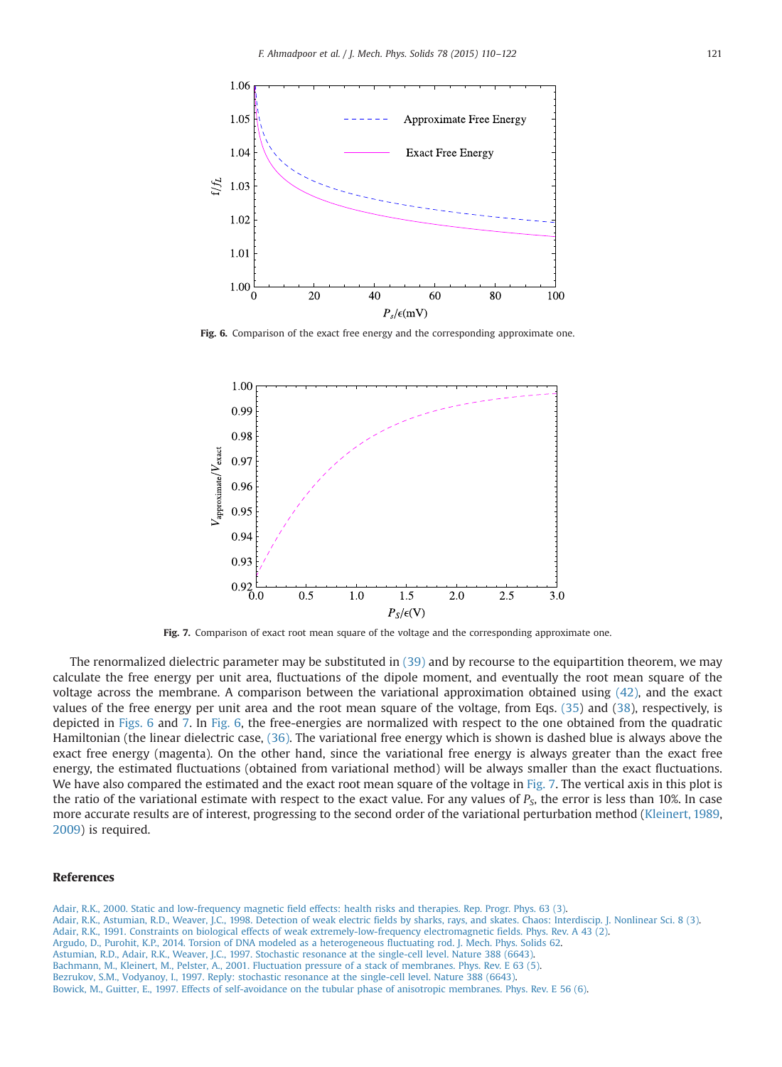<span id="page-11-0"></span>

Fig. 6. Comparison of the exact free energy and the corresponding approximate one.



Fig. 7. Comparison of exact root mean square of the voltage and the corresponding approximate one.

The renormalized dielectric parameter may be substituted in [\(39\)](#page-10-0) and by recourse to the equipartition theorem, we may calculate the free energy per unit area, fluctuations of the dipole moment, and eventually the root mean square of the voltage across the membrane. A comparison between the variational approximation obtained using [\(42\)](#page-10-0), and the exact values of the free energy per unit area and the root mean square of the voltage, from Eqs. [\(35](#page-10-0)) and ([38](#page-10-0)), respectively, is depicted in Figs. 6 and 7. In Fig. 6, the free-energies are normalized with respect to the one obtained from the quadratic Hamiltonian (the linear dielectric case, [\(36\).](#page-10-0) The variational free energy which is shown is dashed blue is always above the exact free energy (magenta). On the other hand, since the variational free energy is always greater than the exact free energy, the estimated fluctuations (obtained from variational method) will be always smaller than the exact fluctuations. We have also compared the estimated and the exact root mean square of the voltage in Fig. 7. The vertical axis in this plot is the ratio of the variational estimate with respect to the exact value. For any values of  $P<sub>S</sub>$ , the error is less than 10%. In case more accurate results are of interest, progressing to the second order of the variational perturbation method [\(Kleinert, 1989](#page-12-0), [2009](#page-12-0)) is required.

## References

[Adair, R.K., 2000. Static and low-frequency magnetic field effects: health risks and therapies. Rep. Progr. Phys. 63 \(3\).](http://refhub.elsevier.com/S0022-5096(15)00028-9/sbref1) [Adair, R.K., Astumian, R.D., Weaver, J.C., 1998. Detection of weak electric fields by sharks, rays, and skates. Chaos: Interdiscip. J. Nonlinear Sci. 8 \(3\).](http://refhub.elsevier.com/S0022-5096(15)00028-9/sbref2) [Adair, R.K., 1991. Constraints on biological effects of weak extremely-low-frequency electromagnetic fields. Phys. Rev. A 43 \(2\).](http://refhub.elsevier.com/S0022-5096(15)00028-9/sbref3) [Argudo, D., Purohit, K.P., 2014. Torsion of DNA modeled as a heterogeneous fluctuating rod. J. Mech. Phys. Solids 62.](http://refhub.elsevier.com/S0022-5096(15)00028-9/sbref4) [Astumian, R.D., Adair, R.K., Weaver, J.C., 1997. Stochastic resonance at the single-cell level. Nature 388 \(6643\).](http://refhub.elsevier.com/S0022-5096(15)00028-9/sbref5) [Bachmann, M., Kleinert, M., Pelster, A., 2001. Fluctuation pressure of a stack of membranes. Phys. Rev. E 63 \(5\).](http://refhub.elsevier.com/S0022-5096(15)00028-9/sbref6) [Bezrukov, S.M., Vodyanoy, I., 1997. Reply: stochastic resonance at the single-cell level. Nature 388 \(6643\).](http://refhub.elsevier.com/S0022-5096(15)00028-9/sbref7) [Bowick, M., Guitter, E., 1997. Effects of self-avoidance on the tubular phase of anisotropic membranes. Phys. Rev. E 56 \(6\).](http://refhub.elsevier.com/S0022-5096(15)00028-9/sbref8)